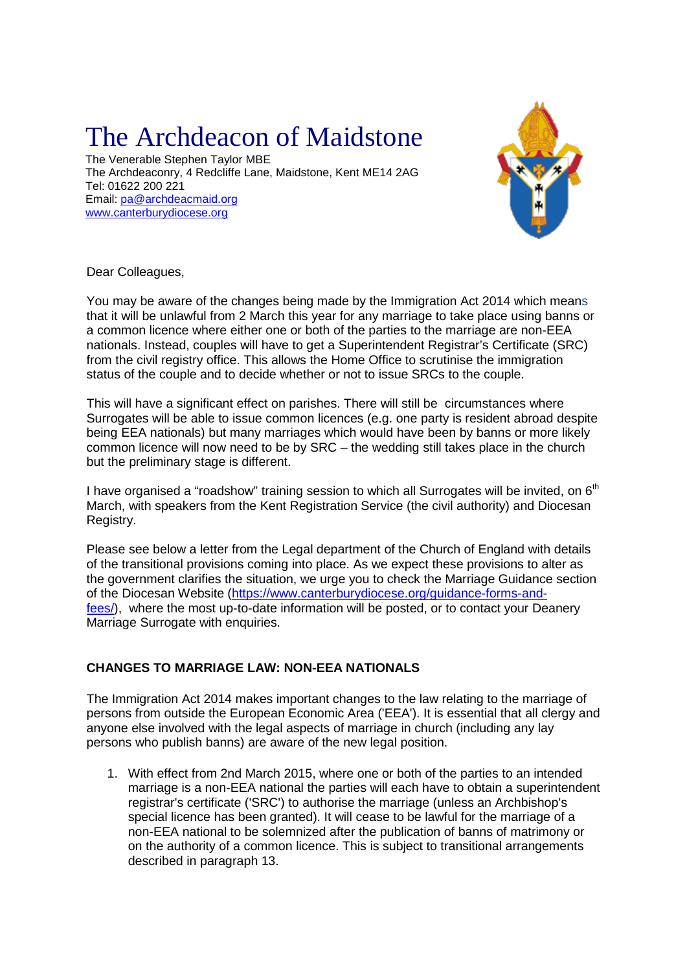# The Archdeacon of Maidstone

The Venerable Stephen Taylor MBE The Archdeaconry, 4 Redcliffe Lane, Maidstone, Kent ME14 2AG Tel: 01622 200 221 Email: [pa@archdeacmaid.org](mailto:pa@archdeacmaid.org) [www.canterburydiocese.org](http://www.canterburydiocese.org/)



Dear Colleagues,

You may be aware of the changes being made by the Immigration Act 2014 which means that it will be unlawful from 2 March this year for any marriage to take place using banns or a common licence where either one or both of the parties to the marriage are non-EEA nationals. Instead, couples will have to get a Superintendent Registrar's Certificate (SRC) from the civil registry office. This allows the Home Office to scrutinise the immigration status of the couple and to decide whether or not to issue SRCs to the couple.

This will have a significant effect on parishes. There will still be circumstances where Surrogates will be able to issue common licences (e.g. one party is resident abroad despite being EEA nationals) but many marriages which would have been by banns or more likely common licence will now need to be by SRC – the wedding still takes place in the church but the preliminary stage is different.

I have organised a "roadshow" training session to which all Surrogates will be invited, on  $6<sup>th</sup>$ March, with speakers from the Kent Registration Service (the civil authority) and Diocesan Registry.

Please see below a letter from the Legal department of the Church of England with details of the transitional provisions coming into place. As we expect these provisions to alter as the government clarifies the situation, we urge you to check the Marriage Guidance section of the Diocesan Website [\(https://www.canterburydiocese.org/guidance-forms-and](https://www.canterburydiocese.org/guidance-forms-and-fees/)[fees/\)](https://www.canterburydiocese.org/guidance-forms-and-fees/), where the most up-to-date information will be posted, or to contact your Deanery Marriage Surrogate with enquiries.

#### **CHANGES TO MARRIAGE LAW: NON-EEA NATIONALS**

The Immigration Act 2014 makes important changes to the law relating to the marriage of persons from outside the European Economic Area ('EEA'). It is essential that all clergy and anyone else involved with the legal aspects of marriage in church (including any lay persons who publish banns) are aware of the new legal position.

1. With effect from 2nd March 2015, where one or both of the parties to an intended marriage is a non-EEA national the parties will each have to obtain a superintendent registrar's certificate ('SRC') to authorise the marriage (unless an Archbishop's special licence has been granted). It will cease to be lawful for the marriage of a non-EEA national to be solemnized after the publication of banns of matrimony or on the authority of a common licence. This is subject to transitional arrangements described in paragraph 13.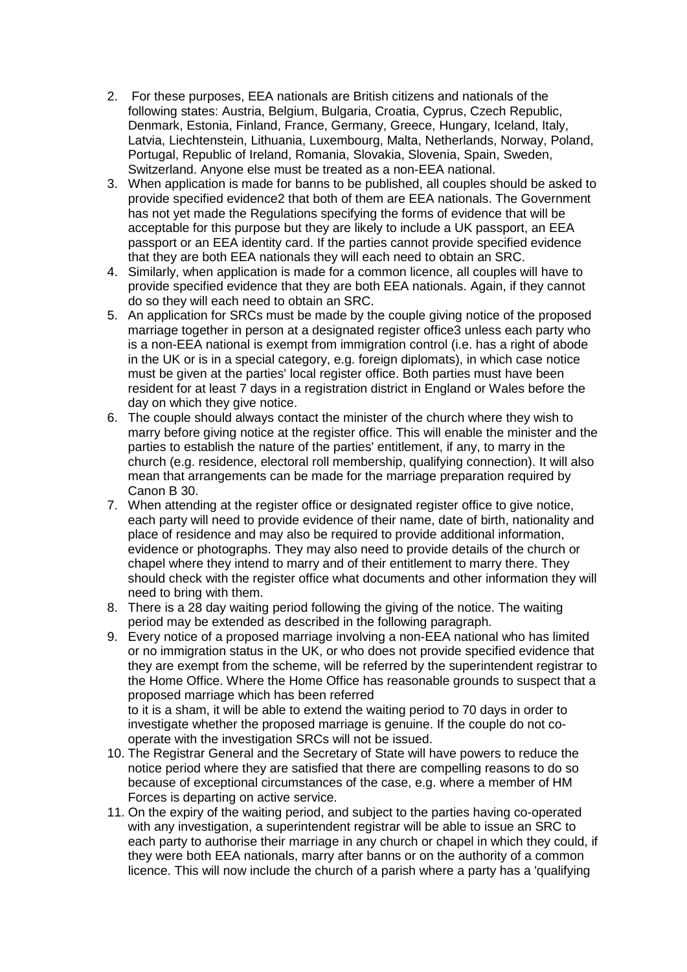- 2. For these purposes, EEA nationals are British citizens and nationals of the following states: Austria, Belgium, Bulgaria, Croatia, Cyprus, Czech Republic, Denmark, Estonia, Finland, France, Germany, Greece, Hungary, Iceland, Italy, Latvia, Liechtenstein, Lithuania, Luxembourg, Malta, Netherlands, Norway, Poland, Portugal, Republic of Ireland, Romania, Slovakia, Slovenia, Spain, Sweden, Switzerland. Anyone else must be treated as a non-EEA national.
- 3. When application is made for banns to be published, all couples should be asked to provide specified evidence2 that both of them are EEA nationals. The Government has not yet made the Regulations specifying the forms of evidence that will be acceptable for this purpose but they are likely to include a UK passport, an EEA passport or an EEA identity card. If the parties cannot provide specified evidence that they are both EEA nationals they will each need to obtain an SRC.
- 4. Similarly, when application is made for a common licence, all couples will have to provide specified evidence that they are both EEA nationals. Again, if they cannot do so they will each need to obtain an SRC.
- 5. An application for SRCs must be made by the couple giving notice of the proposed marriage together in person at a designated register office3 unless each party who is a non-EEA national is exempt from immigration control (i.e. has a right of abode in the UK or is in a special category, e.g. foreign diplomats), in which case notice must be given at the parties' local register office. Both parties must have been resident for at least 7 days in a registration district in England or Wales before the day on which they give notice.
- 6. The couple should always contact the minister of the church where they wish to marry before giving notice at the register office. This will enable the minister and the parties to establish the nature of the parties' entitlement, if any, to marry in the church (e.g. residence, electoral roll membership, qualifying connection). It will also mean that arrangements can be made for the marriage preparation required by Canon B 30.
- 7. When attending at the register office or designated register office to give notice, each party will need to provide evidence of their name, date of birth, nationality and place of residence and may also be required to provide additional information, evidence or photographs. They may also need to provide details of the church or chapel where they intend to marry and of their entitlement to marry there. They should check with the register office what documents and other information they will need to bring with them.
- 8. There is a 28 day waiting period following the giving of the notice. The waiting period may be extended as described in the following paragraph.
- 9. Every notice of a proposed marriage involving a non-EEA national who has limited or no immigration status in the UK, or who does not provide specified evidence that they are exempt from the scheme, will be referred by the superintendent registrar to the Home Office. Where the Home Office has reasonable grounds to suspect that a proposed marriage which has been referred to it is a sham, it will be able to extend the waiting period to 70 days in order to investigate whether the proposed marriage is genuine. If the couple do not co
	- operate with the investigation SRCs will not be issued.
- 10. The Registrar General and the Secretary of State will have powers to reduce the notice period where they are satisfied that there are compelling reasons to do so because of exceptional circumstances of the case, e.g. where a member of HM Forces is departing on active service.
- 11. On the expiry of the waiting period, and subject to the parties having co-operated with any investigation, a superintendent registrar will be able to issue an SRC to each party to authorise their marriage in any church or chapel in which they could, if they were both EEA nationals, marry after banns or on the authority of a common licence. This will now include the church of a parish where a party has a 'qualifying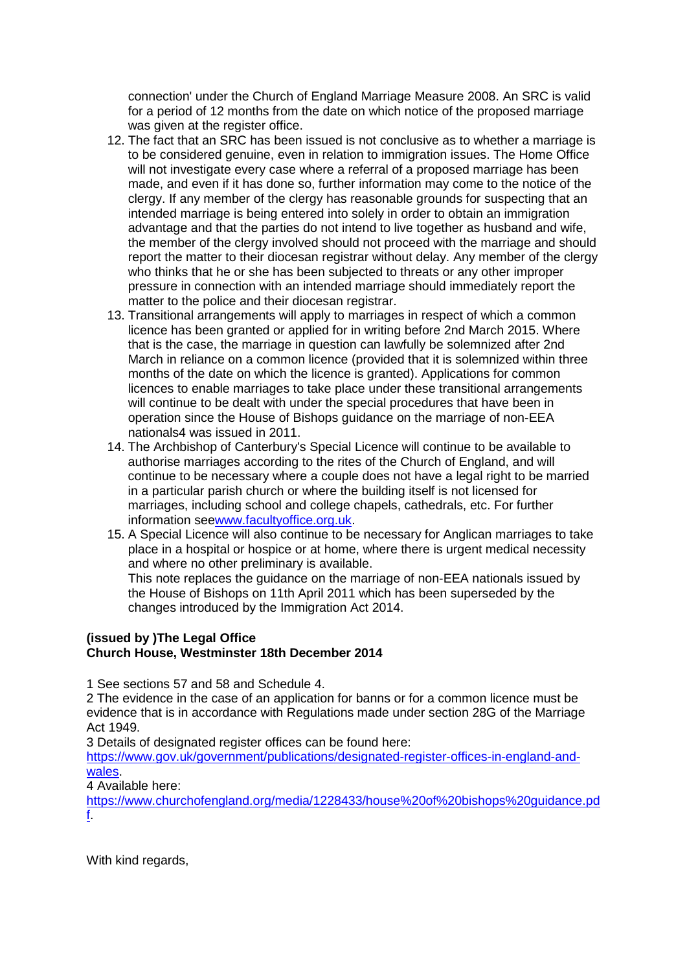connection' under the Church of England Marriage Measure 2008. An SRC is valid for a period of 12 months from the date on which notice of the proposed marriage was given at the register office.

- 12. The fact that an SRC has been issued is not conclusive as to whether a marriage is to be considered genuine, even in relation to immigration issues. The Home Office will not investigate every case where a referral of a proposed marriage has been made, and even if it has done so, further information may come to the notice of the clergy. If any member of the clergy has reasonable grounds for suspecting that an intended marriage is being entered into solely in order to obtain an immigration advantage and that the parties do not intend to live together as husband and wife, the member of the clergy involved should not proceed with the marriage and should report the matter to their diocesan registrar without delay. Any member of the clergy who thinks that he or she has been subjected to threats or any other improper pressure in connection with an intended marriage should immediately report the matter to the police and their diocesan registrar.
- 13. Transitional arrangements will apply to marriages in respect of which a common licence has been granted or applied for in writing before 2nd March 2015. Where that is the case, the marriage in question can lawfully be solemnized after 2nd March in reliance on a common licence (provided that it is solemnized within three months of the date on which the licence is granted). Applications for common licences to enable marriages to take place under these transitional arrangements will continue to be dealt with under the special procedures that have been in operation since the House of Bishops guidance on the marriage of non-EEA nationals4 was issued in 2011.
- 14. The Archbishop of Canterbury's Special Licence will continue to be available to authorise marriages according to the rites of the Church of England, and will continue to be necessary where a couple does not have a legal right to be married in a particular parish church or where the building itself is not licensed for marriages, including school and college chapels, cathedrals, etc. For further information se[ewww.facultyoffice.org.uk.](http://www.facultyoffice.org.uk/)
- 15. A Special Licence will also continue to be necessary for Anglican marriages to take place in a hospital or hospice or at home, where there is urgent medical necessity and where no other preliminary is available.

This note replaces the guidance on the marriage of non-EEA nationals issued by the House of Bishops on 11th April 2011 which has been superseded by the changes introduced by the Immigration Act 2014.

#### **(issued by )The Legal Office Church House, Westminster 18th December 2014**

1 See sections 57 and 58 and Schedule 4.

2 The evidence in the case of an application for banns or for a common licence must be evidence that is in accordance with Regulations made under section 28G of the Marriage Act 1949.

3 Details of designated register offices can be found here:

[https://www.gov.uk/government/publications/designated-register-offices-in-england-and](https://www.gov.uk/government/publications/designated-register-offices-in-england-and-wales)[wales.](https://www.gov.uk/government/publications/designated-register-offices-in-england-and-wales)

4 Available here:

[https://www.churchofengland.org/media/1228433/house%20of%20bishops%20guidance.pd](https://www.churchofengland.org/media/1228433/house%20of%20bishops%20guidance.pdf) [f.](https://www.churchofengland.org/media/1228433/house%20of%20bishops%20guidance.pdf)

With kind regards,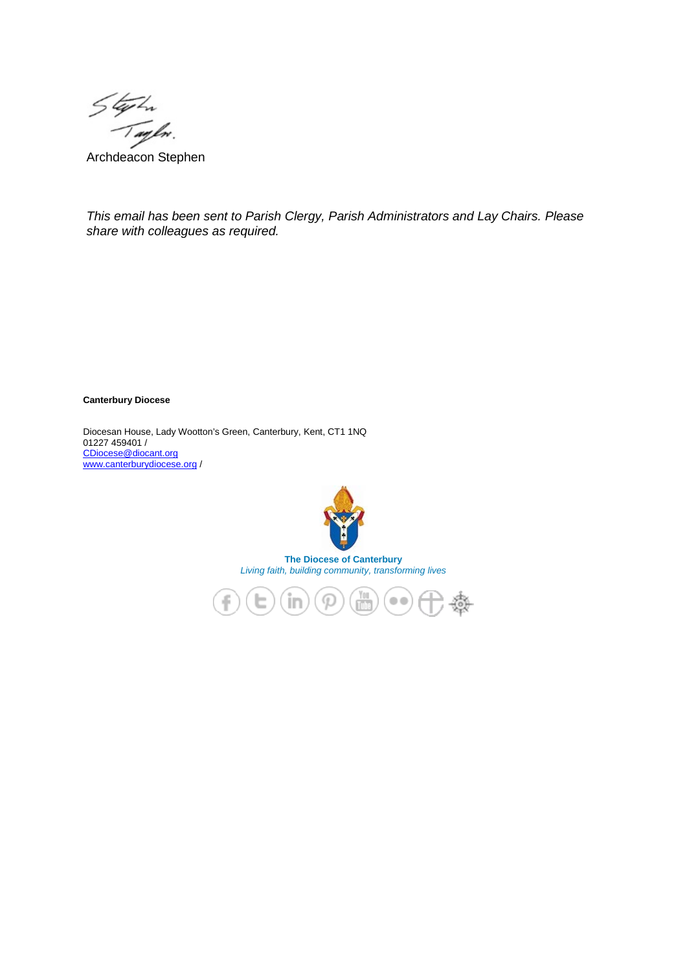$\frac{f_{\sqrt{m}}}{f_{\sqrt{m}}}$ <br>Archdeacon Stephen

*This email has been sent to Parish Clergy, Parish Administrators and Lay Chairs. Please share with colleagues as required.*

**Canterbury Diocese**

Diocesan House, Lady Wootton's Green, Canterbury, Kent, CT1 1NQ 01227 459401 / [CDiocese@diocant.org](mailto:CDiocese@diocant.org) [www.canterburydiocese.org](http://www.canterburydiocese.org/) /



**The Diocese of Canterbury** *Living faith, building community, transforming lives*

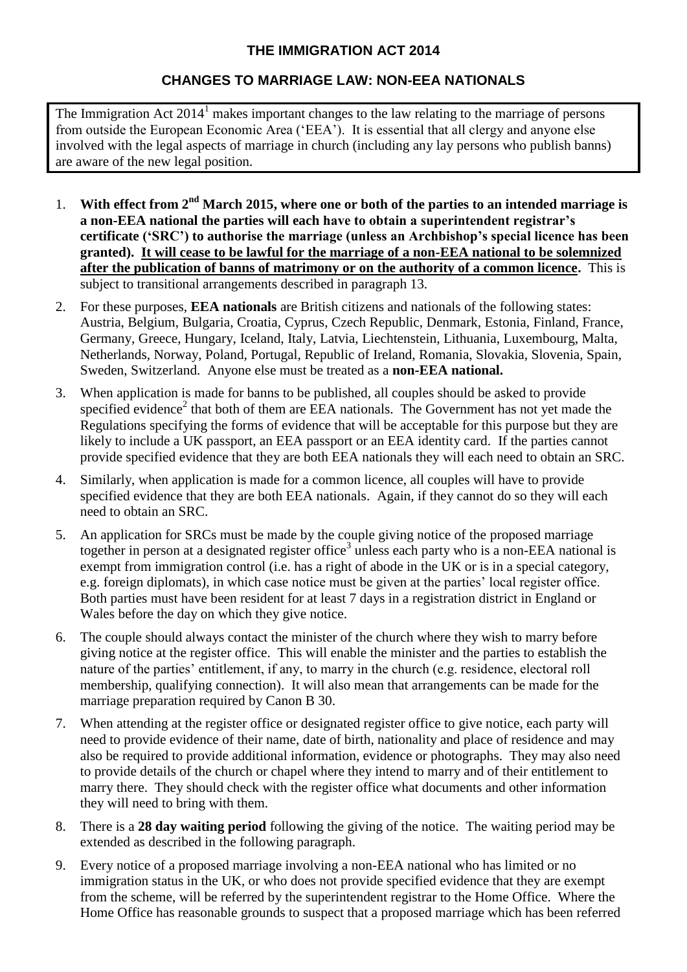## **THE IMMIGRATION ACT 2014**

## **CHANGES TO MARRIAGE LAW: NON-EEA NATIONALS**

The Immigration Act  $2014<sup>1</sup>$  makes important changes to the law relating to the marriage of persons from outside the European Economic Area ('EEA'). It is essential that all clergy and anyone else involved with the legal aspects of marriage in church (including any lay persons who publish banns) are aware of the new legal position.

- 1. With effect from 2<sup>nd</sup> March 2015, where one or both of the parties to an intended marriage is **a non-EEA national the parties will each have to obtain a superintendent registrar's certificate ('SRC') to authorise the marriage (unless an Archbishop's special licence has been granted). It will cease to be lawful for the marriage of a non-EEA national to be solemnized after the publication of banns of matrimony or on the authority of a common licence.** This is subject to transitional arrangements described in paragraph 13.
- 2. For these purposes, **EEA nationals** are British citizens and nationals of the following states: Austria, Belgium, Bulgaria, Croatia, Cyprus, Czech Republic, Denmark, Estonia, Finland, France, Germany, Greece, Hungary, Iceland, Italy, Latvia, Liechtenstein, Lithuania, Luxembourg, Malta, Netherlands, Norway, Poland, Portugal, Republic of Ireland, Romania, Slovakia, Slovenia, Spain, Sweden, Switzerland. Anyone else must be treated as a **non-EEA national.**
- 3. When application is made for banns to be published, all couples should be asked to provide specified evidence<sup>2</sup> that both of them are EEA nationals. The Government has not yet made the Regulations specifying the forms of evidence that will be acceptable for this purpose but they are likely to include a UK passport, an EEA passport or an EEA identity card. If the parties cannot provide specified evidence that they are both EEA nationals they will each need to obtain an SRC.
- 4. Similarly, when application is made for a common licence, all couples will have to provide specified evidence that they are both EEA nationals. Again, if they cannot do so they will each need to obtain an SRC.
- 5. An application for SRCs must be made by the couple giving notice of the proposed marriage together in person at a designated register office<sup>3</sup> unless each party who is a non-EEA national is exempt from immigration control (i.e. has a right of abode in the UK or is in a special category, e.g. foreign diplomats), in which case notice must be given at the parties' local register office. Both parties must have been resident for at least 7 days in a registration district in England or Wales before the day on which they give notice.
- 6. The couple should always contact the minister of the church where they wish to marry before giving notice at the register office. This will enable the minister and the parties to establish the nature of the parties' entitlement, if any, to marry in the church (e.g. residence, electoral roll membership, qualifying connection). It will also mean that arrangements can be made for the marriage preparation required by Canon B 30.
- 7. When attending at the register office or designated register office to give notice, each party will need to provide evidence of their name, date of birth, nationality and place of residence and may also be required to provide additional information, evidence or photographs. They may also need to provide details of the church or chapel where they intend to marry and of their entitlement to marry there. They should check with the register office what documents and other information they will need to bring with them.
- 8. There is a **28 day waiting period** following the giving of the notice. The waiting period may be extended as described in the following paragraph.
- 9. Every notice of a proposed marriage involving a non-EEA national who has limited or no immigration status in the UK, or who does not provide specified evidence that they are exempt from the scheme, will be referred by the superintendent registrar to the Home Office. Where the Home Office has reasonable grounds to suspect that a proposed marriage which has been referred